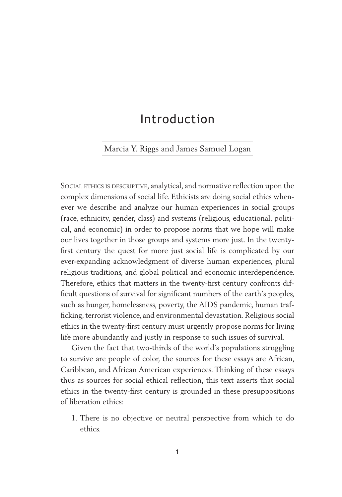## Introduction

## .Marcia Y. Riggs and James Samuel Logan.

SOCIAL ETHICS IS DESCRIPTIVE, analytical, and normative reflection upon the complex dimensions of social life. Ethicists are doing social ethics whenever we describe and analyze our human experiences in social groups (race, ethnicity, gender, class) and systems (religious, educational, political, and economic) in order to propose norms that we hope will make our lives together in those groups and systems more just. In the twentyfirst century the quest for more just social life is complicated by our ever-expanding acknowledgment of diverse human experiences, plural religious traditions, and global political and economic interdependence. Therefore, ethics that matters in the twenty-first century confronts difficult questions of survival for significant numbers of the earth's peoples, such as hunger, homelessness, poverty, the AIDS pandemic, human trafficking, terrorist violence, and environmental devastation. Religious social ethics in the twenty-first century must urgently propose norms for living life more abundantly and justly in response to such issues of survival.

Given the fact that two-thirds of the world's populations struggling to survive are people of color, the sources for these essays are African, Caribbean, and African American experiences. Thinking of these essays thus as sources for social ethical reflection, this text asserts that social ethics in the twenty-first century is grounded in these presuppositions of liberation ethics:

1. There is no objective or neutral perspective from which to do ethics.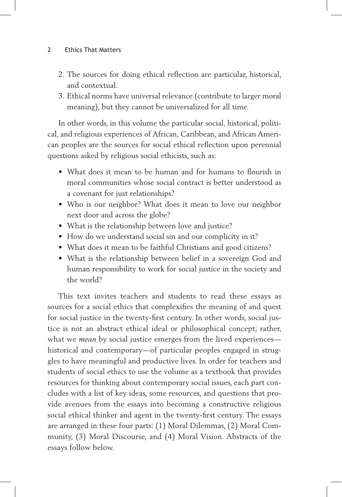## 2 Ethics That Matters

- 2. The sources for doing ethical reflection are particular, historical, and contextual.
- 3. Ethical norms have universal relevance (contribute to larger moral meaning), but they cannot be universalized for all time.

In other words, in this volume the particular social, historical, political, and religious experiences of African, Caribbean, and African American peoples are the sources for social ethical reflection upon perennial questions asked by religious social ethicists, such as:

- What does it mean to be human and for humans to flourish in moral communities whose social contract is better understood as a covenant for just relationships?
- Who is our neighbor? What does it mean to love our neighbor next door and across the globe?
- What is the relationship between love and justice?
- How do we understand social sin and our complicity in it?
- What does it mean to be faithful Christians and good citizens?
- What is the relationship between belief in a sovereign God and human responsibility to work for social justice in the society and the world?

This text invites teachers and students to read these essays as sources for a social ethics that complexifies the meaning of and quest for social justice in the twenty-first century. In other words, social justice is not an abstract ethical ideal or philosophical concept; rather, what we *mean* by social justice emerges from the lived experiences historical and contemporary—of particular peoples engaged in struggles to have meaningful and productive lives. In order for teachers and students of social ethics to use the volume as a textbook that provides resources for thinking about contemporary social issues, each part concludes with a list of key ideas, some resources, and questions that provide avenues from the essays into becoming a constructive religious social ethical thinker and agent in the twenty-first century. The essays are arranged in these four parts: (1) Moral Dilemmas, (2) Moral Community, (3) Moral Discourse, and (4) Moral Vision. Abstracts of the essays follow below.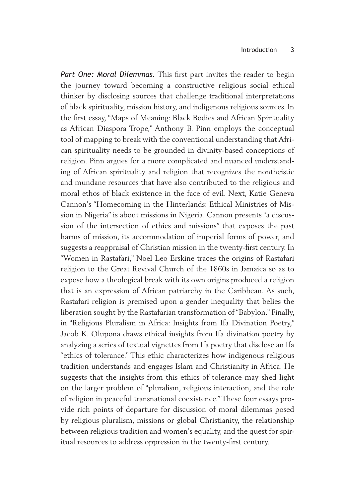*Part One: Moral Dilemmas.* This first part invites the reader to begin the journey toward becoming a constructive religious social ethical thinker by disclosing sources that challenge traditional interpretations of black spirituality, mission history, and indigenous religious sources. In the first essay, "Maps of Meaning: Black Bodies and African Spirituality as African Diaspora Trope," Anthony B. Pinn employs the conceptual tool of mapping to break with the conventional understanding that African spirituality needs to be grounded in divinity-based conceptions of religion. Pinn argues for a more complicated and nuanced understanding of African spirituality and religion that recognizes the nontheistic and mundane resources that have also contributed to the religious and moral ethos of black existence in the face of evil. Next, Katie Geneva Cannon's "Homecoming in the Hinterlands: Ethical Ministries of Mission in Nigeria" is about missions in Nigeria. Cannon presents "a discussion of the intersection of ethics and missions" that exposes the past harms of mission, its accommodation of imperial forms of power, and suggests a reappraisal of Christian mission in the twenty-first century. In "Women in Rastafari," Noel Leo Erskine traces the origins of Rastafari religion to the Great Revival Church of the 1860s in Jamaica so as to expose how a theological break with its own origins produced a religion that is an expression of African patriarchy in the Caribbean. As such, Rastafari religion is premised upon a gender inequality that belies the liberation sought by the Rastafarian transformation of "Babylon." Finally, in "Religious Pluralism in Africa: Insights from Ifa Divination Poetry," Jacob K. Olupona draws ethical insights from Ifa divination poetry by analyzing a series of textual vignettes from Ifa poetry that disclose an Ifa "ethics of tolerance." This ethic characterizes how indigenous religious tradition understands and engages Islam and Christianity in Africa. He suggests that the insights from this ethics of tolerance may shed light on the larger problem of "pluralism, religious interaction, and the role of religion in peaceful transnational coexistence." These four essays provide rich points of departure for discussion of moral dilemmas posed by religious pluralism, missions or global Christianity, the relationship between religious tradition and women's equality, and the quest for spiritual resources to address oppression in the twenty-first century.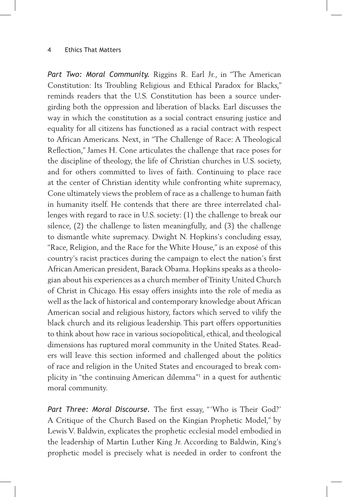## 4 Ethics That Matters

*Part Two: Moral Community.* Riggins R. Earl Jr., in "The American Constitution: Its Troubling Religious and Ethical Paradox for Blacks," reminds readers that the U.S. Constitution has been a source undergirding both the oppression and liberation of blacks. Earl discusses the way in which the constitution as a social contract ensuring justice and equality for all citizens has functioned as a racial contract with respect to African Americans. Next, in "The Challenge of Race: A Theological Reflection," James H. Cone articulates the challenge that race poses for the discipline of theology, the life of Christian churches in U.S. society, and for others committed to lives of faith. Continuing to place race at the center of Christian identity while confronting white supremacy, Cone ultimately views the problem of race as a challenge to human faith in humanity itself. He contends that there are three interrelated challenges with regard to race in U.S. society: (1) the challenge to break our silence, (2) the challenge to listen meaningfully, and (3) the challenge to dismantle white supremacy. Dwight N. Hopkins's concluding essay, "Race, Religion, and the Race for the White House," is an exposé of this country's racist practices during the campaign to elect the nation's first African American president, Barack Obama. Hopkins speaks as a theologian about his experiences as a church member of Trinity United Church of Christ in Chicago. His essay offers insights into the role of media as well as the lack of historical and contemporary knowledge about African American social and religious history, factors which served to vilify the black church and its religious leadership. This part offers opportunities to think about how race in various sociopolitical, ethical, and theological dimensions has ruptured moral community in the United States. Readers will leave this section informed and challenged about the politics of race and religion in the United States and encouraged to break complicity in "the continuing American dilemma"1 in a quest for authentic moral community.

Part Three: Moral Discourse. The first essay, "'Who is Their God?' A Critique of the Church Based on the Kingian Prophetic Model," by Lewis V. Baldwin, explicates the prophetic ecclesial model embodied in the leadership of Martin Luther King Jr. According to Baldwin, King's prophetic model is precisely what is needed in order to confront the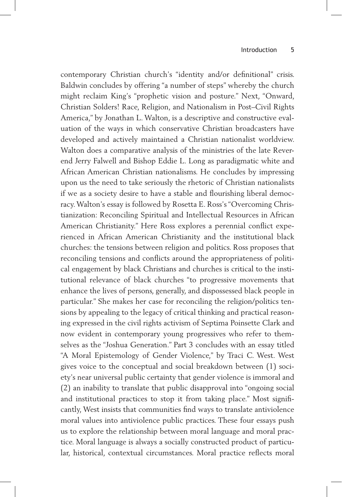contemporary Christian church's "identity and/or definitional" crisis. Baldwin concludes by offering "a number of steps" whereby the church might reclaim King's "prophetic vision and posture." Next, "Onward, Christian Solders! Race, Religion, and Nationalism in Post–Civil Rights America," by Jonathan L. Walton, is a descriptive and constructive evaluation of the ways in which conservative Christian broadcasters have developed and actively maintained a Christian nationalist worldview. Walton does a comparative analysis of the ministries of the late Reverend Jerry Falwell and Bishop Eddie L. Long as paradigmatic white and African American Christian nationalisms. He concludes by impressing upon us the need to take seriously the rhetoric of Christian nationalists if we as a society desire to have a stable and flourishing liberal democracy. Walton's essay is followed by Rosetta E. Ross's "Overcoming Christianization: Reconciling Spiritual and Intellectual Resources in African American Christianity." Here Ross explores a perennial conflict experienced in African American Christianity and the institutional black churches: the tensions between religion and politics. Ross proposes that reconciling tensions and conflicts around the appropriateness of political engagement by black Christians and churches is critical to the institutional relevance of black churches "to progressive movements that enhance the lives of persons, generally, and dispossessed black people in particular." She makes her case for reconciling the religion/politics tensions by appealing to the legacy of critical thinking and practical reasoning expressed in the civil rights activism of Septima Poinsette Clark and now evident in contemporary young progressives who refer to themselves as the "Joshua Generation." Part 3 concludes with an essay titled "A Moral Epistemology of Gender Violence," by Traci C. West. West gives voice to the conceptual and social breakdown between (1) society's near universal public certainty that gender violence is immoral and (2) an inability to translate that public disapproval into "ongoing social and institutional practices to stop it from taking place." Most significantly, West insists that communities find ways to translate antiviolence moral values into antiviolence public practices. These four essays push us to explore the relationship between moral language and moral practice. Moral language is always a socially constructed product of particular, historical, contextual circumstances. Moral practice reflects moral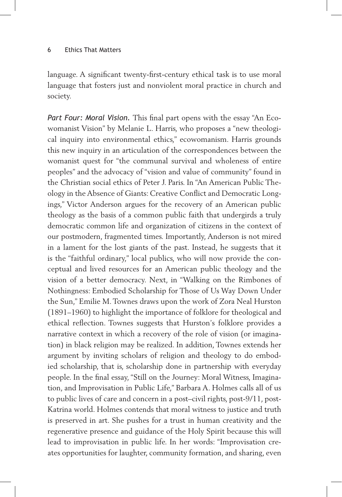language. A significant twenty-first-century ethical task is to use moral language that fosters just and nonviolent moral practice in church and society.

*Part Four: Moral Vision.* This final part opens with the essay "An Ecowomanist Vision" by Melanie L. Harris, who proposes a "new theological inquiry into environmental ethics," ecowomanism. Harris grounds this new inquiry in an articulation of the correspondences between the womanist quest for "the communal survival and wholeness of entire peoples" and the advocacy of "vision and value of community" found in the Christian social ethics of Peter J. Paris. In "An American Public Theology in the Absence of Giants: Creative Conflict and Democratic Longings," Victor Anderson argues for the recovery of an American public theology as the basis of a common public faith that undergirds a truly democratic common life and organization of citizens in the context of our postmodern, fragmented times. Importantly, Anderson is not mired in a lament for the lost giants of the past. Instead, he suggests that it is the "faithful ordinary," local publics, who will now provide the conceptual and lived resources for an American public theology and the vision of a better democracy. Next, in "Walking on the Rimbones of Nothingness: Embodied Scholarship for Those of Us Way Down Under the Sun," Emilie M. Townes draws upon the work of Zora Neal Hurston (1891–1960) to highlight the importance of folklore for theological and ethical reflection. Townes suggests that Hurston's folklore provides a narrative context in which a recovery of the role of vision (or imagination) in black religion may be realized. In addition, Townes extends her argument by inviting scholars of religion and theology to do embodied scholarship, that is, scholarship done in partnership with everyday people. In the final essay, "Still on the Journey: Moral Witness, Imagination, and Improvisation in Public Life," Barbara A. Holmes calls all of us to public lives of care and concern in a post–civil rights, post-9/11, post-Katrina world. Holmes contends that moral witness to justice and truth is preserved in art. She pushes for a trust in human creativity and the regenerative presence and guidance of the Holy Spirit because this will lead to improvisation in public life. In her words: "Improvisation creates opportunities for laughter, community formation, and sharing, even